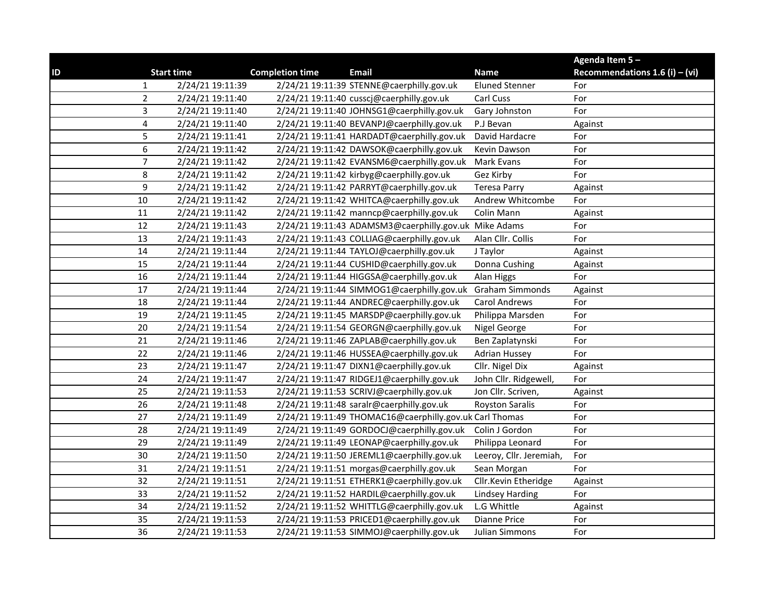|    |                |                   |                        |                                                         |                         | Agenda Item 5-                   |
|----|----------------|-------------------|------------------------|---------------------------------------------------------|-------------------------|----------------------------------|
| ID |                | <b>Start time</b> | <b>Completion time</b> | Email                                                   | <b>Name</b>             | Recommendations 1.6 (i) $-$ (vi) |
|    | 1              | 2/24/21 19:11:39  |                        | 2/24/21 19:11:39 STENNE@caerphilly.gov.uk               | <b>Eluned Stenner</b>   | For                              |
|    | $\overline{c}$ | 2/24/21 19:11:40  |                        | 2/24/21 19:11:40 cusscj@caerphilly.gov.uk               | Carl Cuss               | For                              |
|    | 3              | 2/24/21 19:11:40  |                        | 2/24/21 19:11:40 JOHNSG1@caerphilly.gov.uk              | Gary Johnston           | For                              |
|    | 4              | 2/24/21 19:11:40  |                        | 2/24/21 19:11:40 BEVANPJ@caerphilly.gov.uk              | P.J Bevan               | Against                          |
|    | 5              | 2/24/21 19:11:41  |                        | 2/24/21 19:11:41 HARDADT@caerphilly.gov.uk              | David Hardacre          | For                              |
|    | 6              | 2/24/21 19:11:42  |                        | 2/24/21 19:11:42 DAWSOK@caerphilly.gov.uk               | Kevin Dawson            | For                              |
|    | 7              | 2/24/21 19:11:42  |                        | 2/24/21 19:11:42 EVANSM6@caerphilly.gov.uk              | Mark Evans              | For                              |
|    | 8              | 2/24/21 19:11:42  |                        | 2/24/21 19:11:42 kirbyg@caerphilly.gov.uk               | Gez Kirby               | For                              |
|    | 9              | 2/24/21 19:11:42  |                        | 2/24/21 19:11:42 PARRYT@caerphilly.gov.uk               | <b>Teresa Parry</b>     | Against                          |
|    | 10             | 2/24/21 19:11:42  |                        | 2/24/21 19:11:42 WHITCA@caerphilly.gov.uk               | Andrew Whitcombe        | For                              |
|    | 11             | 2/24/21 19:11:42  |                        | 2/24/21 19:11:42 manncp@caerphilly.gov.uk               | Colin Mann              | Against                          |
|    | 12             | 2/24/21 19:11:43  |                        | 2/24/21 19:11:43 ADAMSM3@caerphilly.gov.uk Mike Adams   |                         | For                              |
|    | 13             | 2/24/21 19:11:43  |                        | 2/24/21 19:11:43 COLLIAG@caerphilly.gov.uk              | Alan Cllr. Collis       | For                              |
|    | 14             | 2/24/21 19:11:44  |                        | 2/24/21 19:11:44 TAYLOJ@caerphilly.gov.uk               | J Taylor                | Against                          |
|    | 15             | 2/24/21 19:11:44  |                        | 2/24/21 19:11:44 CUSHID@caerphilly.gov.uk               | Donna Cushing           | Against                          |
|    | 16             | 2/24/21 19:11:44  |                        | 2/24/21 19:11:44 HIGGSA@caerphilly.gov.uk               | Alan Higgs              | For                              |
|    | 17             | 2/24/21 19:11:44  |                        | 2/24/21 19:11:44 SIMMOG1@caerphilly.gov.uk              | <b>Graham Simmonds</b>  | Against                          |
|    | 18             | 2/24/21 19:11:44  |                        | 2/24/21 19:11:44 ANDREC@caerphilly.gov.uk               | Carol Andrews           | For                              |
|    | 19             | 2/24/21 19:11:45  |                        | 2/24/21 19:11:45 MARSDP@caerphilly.gov.uk               | Philippa Marsden        | For                              |
|    | 20             | 2/24/21 19:11:54  |                        | 2/24/21 19:11:54 GEORGN@caerphilly.gov.uk               | Nigel George            | For                              |
|    | 21             | 2/24/21 19:11:46  |                        | 2/24/21 19:11:46 ZAPLAB@caerphilly.gov.uk               | Ben Zaplatynski         | For                              |
|    | 22             | 2/24/21 19:11:46  |                        | 2/24/21 19:11:46 HUSSEA@caerphilly.gov.uk               | <b>Adrian Hussey</b>    | For                              |
|    | 23             | 2/24/21 19:11:47  |                        | 2/24/21 19:11:47 DIXN1@caerphilly.gov.uk                | Cllr. Nigel Dix         | Against                          |
|    | 24             | 2/24/21 19:11:47  |                        | 2/24/21 19:11:47 RIDGEJ1@caerphilly.gov.uk              | John Cllr. Ridgewell,   | For                              |
|    | 25             | 2/24/21 19:11:53  |                        | 2/24/21 19:11:53 SCRIVJ@caerphilly.gov.uk               | Jon Cllr. Scriven,      | Against                          |
|    | 26             | 2/24/21 19:11:48  |                        | 2/24/21 19:11:48 saralr@caerphilly.gov.uk               | <b>Royston Saralis</b>  | For                              |
|    | 27             | 2/24/21 19:11:49  |                        | 2/24/21 19:11:49 THOMAC16@caerphilly.gov.uk Carl Thomas |                         | For                              |
|    | 28             | 2/24/21 19:11:49  |                        | 2/24/21 19:11:49 GORDOCJ@caerphilly.gov.uk              | Colin J Gordon          | For                              |
|    | 29             | 2/24/21 19:11:49  |                        | 2/24/21 19:11:49 LEONAP@caerphilly.gov.uk               | Philippa Leonard        | For                              |
|    | 30             | 2/24/21 19:11:50  |                        | 2/24/21 19:11:50 JEREML1@caerphilly.gov.uk              | Leeroy, Cllr. Jeremiah, | For                              |
|    | 31             | 2/24/21 19:11:51  |                        | 2/24/21 19:11:51 morgas@caerphilly.gov.uk               | Sean Morgan             | For                              |
|    | 32             | 2/24/21 19:11:51  |                        | 2/24/21 19:11:51 ETHERK1@caerphilly.gov.uk              | Cllr.Kevin Etheridge    | Against                          |
|    | 33             | 2/24/21 19:11:52  |                        | 2/24/21 19:11:52 HARDIL@caerphilly.gov.uk               | Lindsey Harding         | For                              |
|    | 34             | 2/24/21 19:11:52  |                        | 2/24/21 19:11:52 WHITTLG@caerphilly.gov.uk              | L.G Whittle             | Against                          |
|    | 35             | 2/24/21 19:11:53  |                        | 2/24/21 19:11:53 PRICED1@caerphilly.gov.uk              | Dianne Price            | For                              |
|    | 36             | 2/24/21 19:11:53  |                        | 2/24/21 19:11:53 SIMMOJ@caerphilly.gov.uk               | Julian Simmons          | For                              |